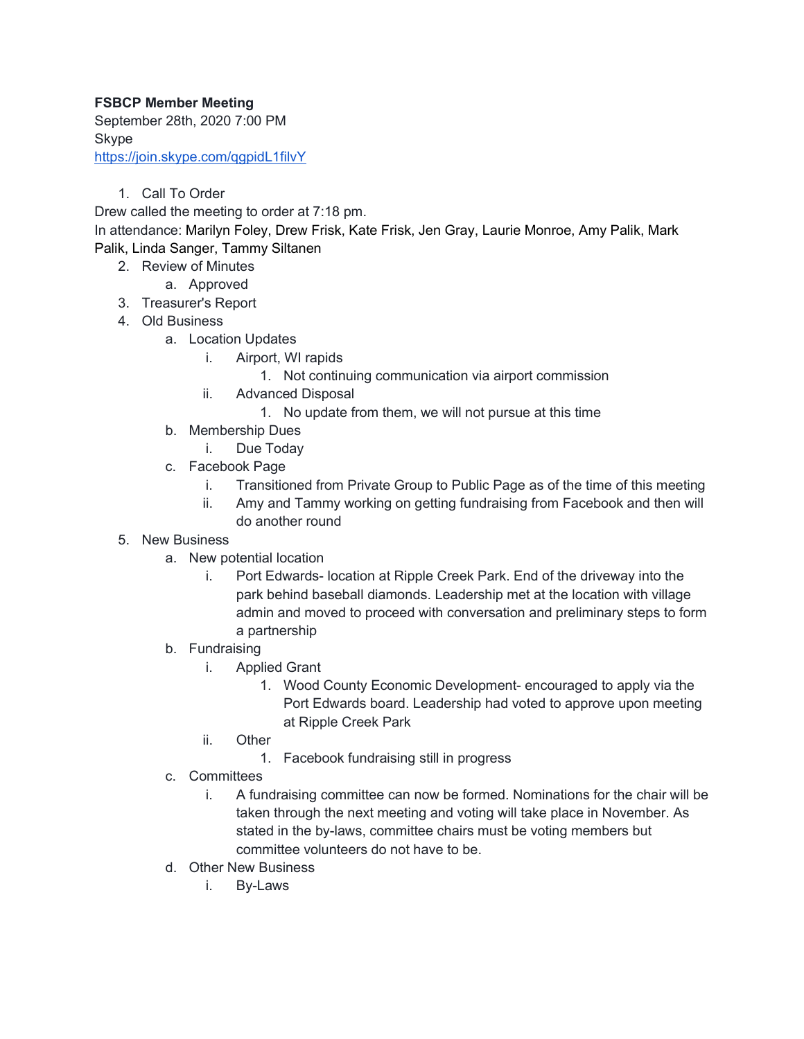## **FSBCP Member Meeting**

September 28th, 2020 7:00 PM Skype <https://join.skype.com/qgpidL1filvY>

1. Call To Order

Drew called the meeting to order at 7:18 pm.

In attendance: Marilyn Foley, Drew Frisk, Kate Frisk, Jen Gray, Laurie Monroe, Amy Palik, Mark Palik, Linda Sanger, Tammy Siltanen

- 2. Review of Minutes
	- a. Approved
- 3. Treasurer's Report
- 4. Old Business
	- a. Location Updates
		- i. Airport, WI rapids
			- 1. Not continuing communication via airport commission
		- ii. Advanced Disposal
			- 1. No update from them, we will not pursue at this time
	- b. Membership Dues
		- i. Due Today
	- c. Facebook Page
		- i. Transitioned from Private Group to Public Page as of the time of this meeting
		- ii. Amy and Tammy working on getting fundraising from Facebook and then will do another round
- 5. New Business
	- a. New potential location
		- i. Port Edwards- location at Ripple Creek Park. End of the driveway into the park behind baseball diamonds. Leadership met at the location with village admin and moved to proceed with conversation and preliminary steps to form a partnership
	- b. Fundraising
		- i. Applied Grant
			- 1. Wood County Economic Development- encouraged to apply via the Port Edwards board. Leadership had voted to approve upon meeting at Ripple Creek Park
		- ii. Other
			- 1. Facebook fundraising still in progress
	- c. Committees
		- i. A fundraising committee can now be formed. Nominations for the chair will be taken through the next meeting and voting will take place in November. As stated in the by-laws, committee chairs must be voting members but committee volunteers do not have to be.
	- d. Other New Business
		- i. By-Laws